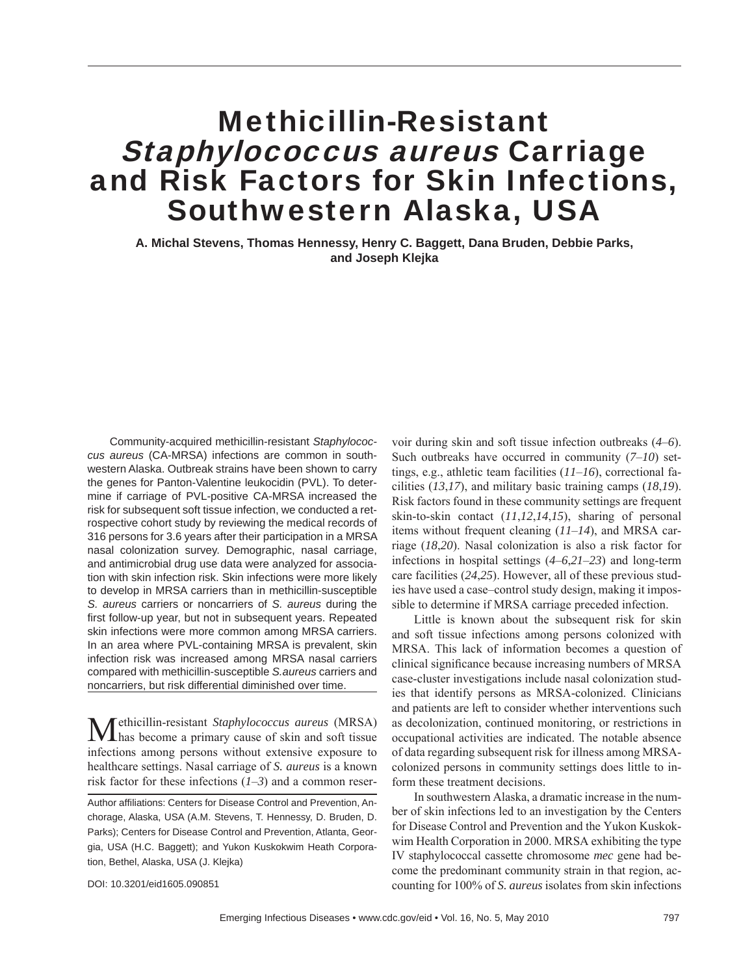# Methicillin-Resistant Staphylococcus aureus Carriage and Risk Factors for Skin Infections, Southwestern Alaska, USA

**A. Michal Stevens, Thomas Hennessy, Henry C. Baggett, Dana Bruden, Debbie Parks, and Joseph Klejka**

Community-acquired methicillin-resistant *Staphylococcus aureus* (CA-MRSA) infections are common in southwestern Alaska. Outbreak strains have been shown to carry the genes for Panton-Valentine leukocidin (PVL). To determine if carriage of PVL-positive CA-MRSA increased the risk for subsequent soft tissue infection, we conducted a retrospective cohort study by reviewing the medical records of 316 persons for 3.6 years after their participation in a MRSA nasal colonization survey. Demographic, nasal carriage, and antimicrobial drug use data were analyzed for association with skin infection risk. Skin infections were more likely to develop in MRSA carriers than in methicillin-susceptible *S. aureus* carriers or noncarriers of *S. aureus* during the first follow-up year, but not in subsequent years. Repeated skin infections were more common among MRSA carriers. In an area where PVL-containing MRSA is prevalent, skin infection risk was increased among MRSA nasal carriers compared with methicillin-susceptible *S.aureus* carriers and noncarriers, but risk differential diminished over time.

Methicillin-resistant *Staphylococcus aureus* (MRSA) has become a primary cause of skin and soft tissue infections among persons without extensive exposure to healthcare settings. Nasal carriage of *S. aureus* is a known risk factor for these infections (*1*–*3*) and a common reservoir during skin and soft tissue infection outbreaks (*4*–*6*). Such outbreaks have occurred in community (*7*–*10*) settings, e.g., athletic team facilities (*11*–*16*), correctional facilities (*13*,*17*), and military basic training camps (*18*,*19*). Risk factors found in these community settings are frequent skin-to-skin contact (*11*,*12*,*14*,*15*), sharing of personal items without frequent cleaning (*11*–*14*), and MRSA carriage (*18*,*20*). Nasal colonization is also a risk factor for infections in hospital settings (*4*–*6*,*21*–*23*) and long-term care facilities (*24*,*25*). However, all of these previous studies have used a case–control study design, making it impossible to determine if MRSA carriage preceded infection.

Little is known about the subsequent risk for skin and soft tissue infections among persons colonized with MRSA. This lack of information becomes a question of clinical significance because increasing numbers of MRSA case-cluster investigations include nasal colonization studies that identify persons as MRSA-colonized. Clinicians and patients are left to consider whether interventions such as decolonization, continued monitoring, or restrictions in occupational activities are indicated. The notable absence of data regarding subsequent risk for illness among MRSAcolonized persons in community settings does little to inform these treatment decisions.

In southwestern Alaska, a dramatic increase in the number of skin infections led to an investigation by the Centers for Disease Control and Prevention and the Yukon Kuskokwim Health Corporation in 2000. MRSA exhibiting the type IV staphylococcal cassette chromosome *mec* gene had become the predominant community strain in that region, accounting for 100% of *S. aureus* isolates from skin infections

DOI: 10.3201/eid1605.090851

Author affiliations: Centers for Disease Control and Prevention, Anchorage, Alaska, USA (A.M. Stevens, T. Hennessy, D. Bruden, D. Parks); Centers for Disease Control and Prevention, Atlanta, Georgia, USA (H.C. Baggett); and Yukon Kuskokwim Heath Corporation, Bethel, Alaska, USA (J. Klejka)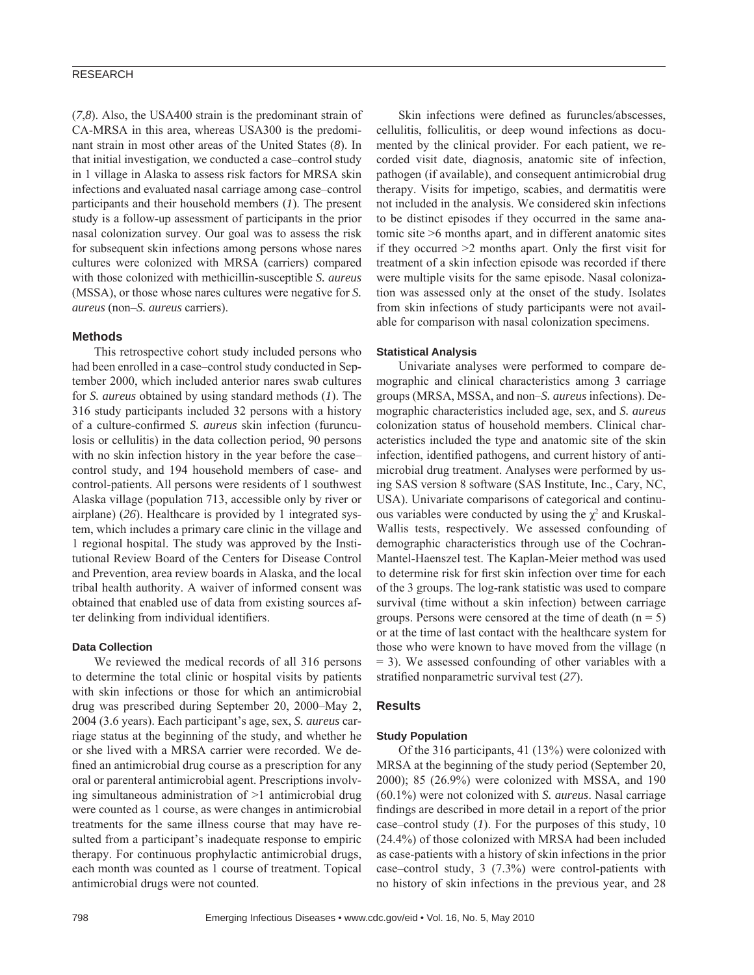# RESEARCH

(*7*,*8*). Also, the USA400 strain is the predominant strain of CA-MRSA in this area, whereas USA300 is the predominant strain in most other areas of the United States (*8*). In that initial investigation, we conducted a case–control study in 1 village in Alaska to assess risk factors for MRSA skin infections and evaluated nasal carriage among case–control participants and their household members (*1*). The present study is a follow-up assessment of participants in the prior nasal colonization survey. Our goal was to assess the risk for subsequent skin infections among persons whose nares cultures were colonized with MRSA (carriers) compared with those colonized with methicillin-susceptible *S. aureus* (MSSA), or those whose nares cultures were negative for *S. aureus* (non–*S. aureus* carriers).

### **Methods**

This retrospective cohort study included persons who had been enrolled in a case–control study conducted in September 2000, which included anterior nares swab cultures for *S. aureus* obtained by using standard methods (*1*). The 316 study participants included 32 persons with a history of a culture-confirmed *S. aureus* skin infection (furunculosis or cellulitis) in the data collection period, 90 persons with no skin infection history in the year before the case– control study, and 194 household members of case- and control-patients. All persons were residents of 1 southwest Alaska village (population 713, accessible only by river or airplane) (*26*). Healthcare is provided by 1 integrated system, which includes a primary care clinic in the village and 1 regional hospital. The study was approved by the Institutional Review Board of the Centers for Disease Control and Prevention, area review boards in Alaska, and the local tribal health authority. A waiver of informed consent was obtained that enabled use of data from existing sources after delinking from individual identifiers.

### **Data Collection**

We reviewed the medical records of all 316 persons to determine the total clinic or hospital visits by patients with skin infections or those for which an antimicrobial drug was prescribed during September 20, 2000–May 2, 2004 (3.6 years). Each participant's age, sex, *S. aureus* carriage status at the beginning of the study, and whether he or she lived with a MRSA carrier were recorded. We defined an antimicrobial drug course as a prescription for any oral or parenteral antimicrobial agent. Prescriptions involving simultaneous administration of >1 antimicrobial drug were counted as 1 course, as were changes in antimicrobial treatments for the same illness course that may have resulted from a participant's inadequate response to empiric therapy. For continuous prophylactic antimicrobial drugs, each month was counted as 1 course of treatment. Topical antimicrobial drugs were not counted.

Skin infections were defined as furuncles/abscesses, cellulitis, folliculitis, or deep wound infections as documented by the clinical provider. For each patient, we recorded visit date, diagnosis, anatomic site of infection, pathogen (if available), and consequent antimicrobial drug therapy. Visits for impetigo, scabies, and dermatitis were not included in the analysis. We considered skin infections to be distinct episodes if they occurred in the same anatomic site >6 months apart, and in different anatomic sites if they occurred  $>2$  months apart. Only the first visit for treatment of a skin infection episode was recorded if there were multiple visits for the same episode. Nasal colonization was assessed only at the onset of the study. Isolates from skin infections of study participants were not available for comparison with nasal colonization specimens.

## **Statistical Analysis**

Univariate analyses were performed to compare demographic and clinical characteristics among 3 carriage groups (MRSA, MSSA, and non–*S. aureus* infections). Demographic characteristics included age, sex, and *S. aureus* colonization status of household members. Clinical characteristics included the type and anatomic site of the skin infection, identified pathogens, and current history of antimicrobial drug treatment. Analyses were performed by using SAS version 8 software (SAS Institute, Inc., Cary, NC, USA). Univariate comparisons of categorical and continuous variables were conducted by using the  $\chi^2$  and Kruskal-Wallis tests, respectively. We assessed confounding of demographic characteristics through use of the Cochran-Mantel-Haenszel test. The Kaplan-Meier method was used to determine risk for first skin infection over time for each of the 3 groups. The log-rank statistic was used to compare survival (time without a skin infection) between carriage groups. Persons were censored at the time of death  $(n = 5)$ or at the time of last contact with the healthcare system for those who were known to have moved from the village (n = 3). We assessed confounding of other variables with a stratified nonparametric survival test (27).

## **Results**

#### **Study Population**

Of the 316 participants, 41 (13%) were colonized with MRSA at the beginning of the study period (September 20, 2000); 85 (26.9%) were colonized with MSSA, and 190 (60.1%) were not colonized with *S. aureus*. Nasal carriage findings are described in more detail in a report of the prior case–control study (*1*). For the purposes of this study, 10 (24.4%) of those colonized with MRSA had been included as case-patients with a history of skin infections in the prior case–control study, 3 (7.3%) were control-patients with no history of skin infections in the previous year, and 28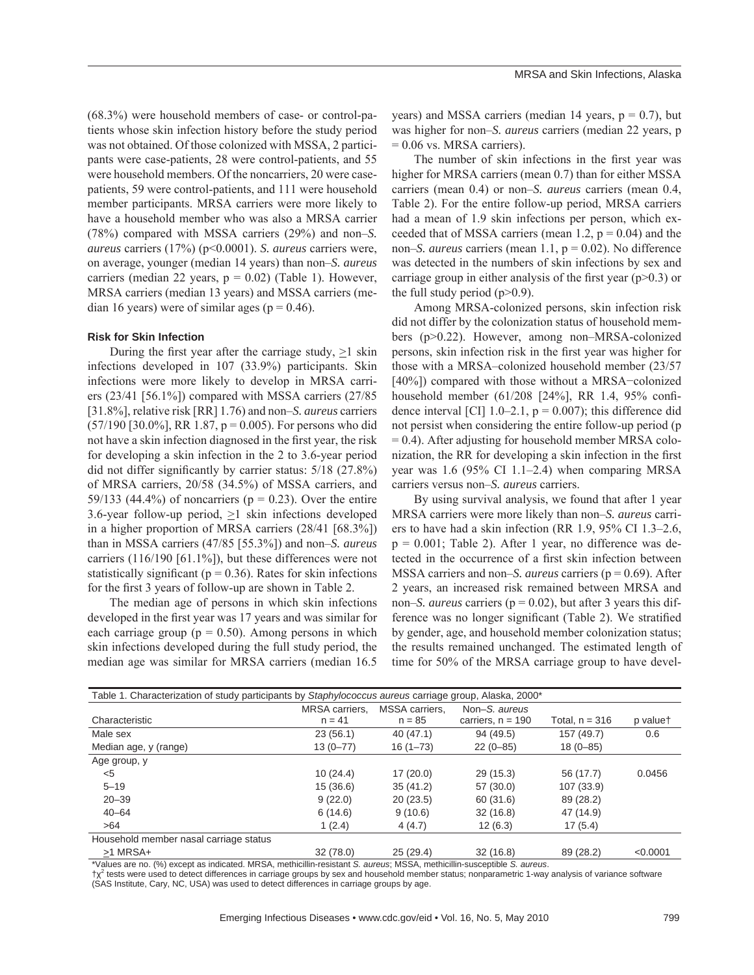(68.3%) were household members of case- or control-patients whose skin infection history before the study period was not obtained. Of those colonized with MSSA, 2 participants were case-patients, 28 were control-patients, and 55 were household members. Of the noncarriers, 20 were casepatients, 59 were control-patients, and 111 were household member participants. MRSA carriers were more likely to have a household member who was also a MRSA carrier (78%) compared with MSSA carriers (29%) and non–*S. aureus* carriers (17%) (p<0.0001). *S. aureus* carriers were, on average, younger (median 14 years) than non–*S. aureus* carriers (median 22 years,  $p = 0.02$ ) (Table 1). However, MRSA carriers (median 13 years) and MSSA carriers (median 16 years) were of similar ages ( $p = 0.46$ ).

## **Risk for Skin Infection**

During the first year after the carriage study,  $\geq 1$  skin infections developed in 107 (33.9%) participants. Skin infections were more likely to develop in MRSA carriers (23/41 [56.1%]) compared with MSSA carriers (27/85 [31.8%], relative risk [RR] 1.76) and non–*S. aureus* carriers  $(57/190)$  [30.0%], RR 1.87, p = 0.005). For persons who did not have a skin infection diagnosed in the first year, the risk for developing a skin infection in the 2 to 3.6-year period did not differ significantly by carrier status:  $5/18$  (27.8%) of MRSA carriers, 20/58 (34.5%) of MSSA carriers, and 59/133 (44.4%) of noncarriers ( $p = 0.23$ ). Over the entire 3.6-year follow-up period,  $\geq 1$  skin infections developed in a higher proportion of MRSA carriers (28/41 [68.3%]) than in MSSA carriers (47/85 [55.3%]) and non–*S. aureus* carriers (116/190 [61.1%]), but these differences were not statistically significant ( $p = 0.36$ ). Rates for skin infections for the first 3 years of follow-up are shown in Table 2.

The median age of persons in which skin infections developed in the first year was 17 years and was similar for each carriage group ( $p = 0.50$ ). Among persons in which skin infections developed during the full study period, the median age was similar for MRSA carriers (median 16.5

years) and MSSA carriers (median 14 years,  $p = 0.7$ ), but was higher for non–*S. aureus* carriers (median 22 years, p  $= 0.06$  vs. MRSA carriers).

The number of skin infections in the first year was higher for MRSA carriers (mean 0.7) than for either MSSA carriers (mean 0.4) or non–*S. aureus* carriers (mean 0.4, Table 2). For the entire follow-up period, MRSA carriers had a mean of 1.9 skin infections per person, which exceeded that of MSSA carriers (mean 1.2,  $p = 0.04$ ) and the non–*S. aureus* carriers (mean 1.1,  $p = 0.02$ ). No difference was detected in the numbers of skin infections by sex and carriage group in either analysis of the first year  $(p>0.3)$  or the full study period  $(p>0.9)$ .

Among MRSA-colonized persons, skin infection risk did not differ by the colonization status of household members (p>0.22). However, among non–MRSA-colonized persons, skin infection risk in the first year was higher for those with a MRSA–colonized household member (23/57 [40%]) compared with those without a MRSA-colonized household member (61/208 [24%], RR 1.4, 95% confidence interval [CI]  $1.0-2.1$ ,  $p = 0.007$ ); this difference did not persist when considering the entire follow-up period (p = 0.4). After adjusting for household member MRSA colonization, the RR for developing a skin infection in the first year was 1.6 (95% CI 1.1–2.4) when comparing MRSA carriers versus non–*S. aureus* carriers.

By using survival analysis, we found that after 1 year MRSA carriers were more likely than non–*S. aureus* carriers to have had a skin infection (RR 1.9, 95% CI 1.3–2.6,  $p = 0.001$ ; Table 2). After 1 year, no difference was detected in the occurrence of a first skin infection between MSSA carriers and non–*S. aureus* carriers (p = 0.69). After 2 years, an increased risk remained between MRSA and non–*S. aureus* carriers (p = 0.02), but after 3 years this difference was no longer significant (Table 2). We stratified by gender, age, and household member colonization status; the results remained unchanged. The estimated length of time for 50% of the MRSA carriage group to have devel-

| Table 1. Characterization of study participants by Staphylococcus aureus carriage group, Alaska, 2000* |                |                       |                     |                  |          |  |  |  |
|--------------------------------------------------------------------------------------------------------|----------------|-----------------------|---------------------|------------------|----------|--|--|--|
|                                                                                                        | MRSA carriers. | <b>MSSA</b> carriers. | Non-S. aureus       |                  |          |  |  |  |
| Characteristic                                                                                         | $n = 41$       | $n = 85$              | carriers, $n = 190$ | Total, $n = 316$ | p valuet |  |  |  |
| Male sex                                                                                               | 23(56.1)       | 40 (47.1)             | 94 (49.5)           | 157 (49.7)       | 0.6      |  |  |  |
| Median age, y (range)                                                                                  | $13(0 - 77)$   | $16(1 - 73)$          | $22(0-85)$          | $18(0 - 85)$     |          |  |  |  |
| Age group, y                                                                                           |                |                       |                     |                  |          |  |  |  |
| $<$ 5                                                                                                  | 10(24.4)       | 17(20.0)              | 29 (15.3)           | 56 (17.7)        | 0.0456   |  |  |  |
| $5 - 19$                                                                                               | 15(36.6)       | 35(41.2)              | 57 (30.0)           | 107 (33.9)       |          |  |  |  |
| $20 - 39$                                                                                              | 9(22.0)        | 20(23.5)              | 60 (31.6)           | 89 (28.2)        |          |  |  |  |
| $40 - 64$                                                                                              | 6(14.6)        | 9(10.6)               | 32(16.8)            | 47 (14.9)        |          |  |  |  |
| >64                                                                                                    | 1(2.4)         | 4(4.7)                | 12(6.3)             | 17(5.4)          |          |  |  |  |
| Household member nasal carriage status                                                                 |                |                       |                     |                  |          |  |  |  |
| $>1$ MRSA+                                                                                             | 32(78.0)       | 25(29.4)              | 32(16.8)            | 89 (28.2)        | < 0.0001 |  |  |  |

\*Values are no. (%) except as indicated. MRSA, methicillin-resistant *S. aureus*; MSSA, methicillin-susceptible *S. aureus*.  $\uparrow \chi^2$  tests were used to detect differences in carriage groups by sex and household member status; nonparametric 1-way analysis of variance software

(SAS Institute, Cary, NC, USA) was used to detect differences in carriage groups by age.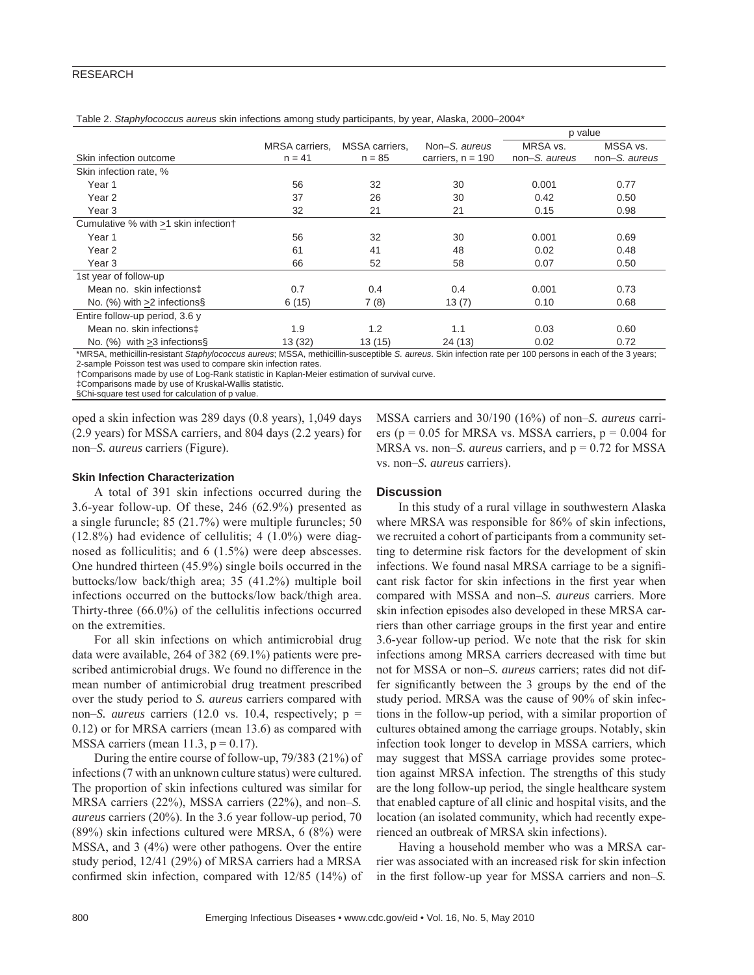# RESEARCH

|                                      |                            |                            |                                      | p value                   |                           |
|--------------------------------------|----------------------------|----------------------------|--------------------------------------|---------------------------|---------------------------|
| Skin infection outcome               | MRSA carriers.<br>$n = 41$ | MSSA carriers,<br>$n = 85$ | Non-S. aureus<br>carriers, $n = 190$ | MRSA vs.<br>non-S, aureus | MSSA vs.<br>non-S, aureus |
| Skin infection rate, %               |                            |                            |                                      |                           |                           |
| Year 1                               | 56                         | 32                         | 30                                   | 0.001                     | 0.77                      |
| Year 2                               | 37                         | 26                         | 30                                   | 0.42                      | 0.50                      |
| Year <sub>3</sub>                    | 32                         | 21                         | 21                                   | 0.15                      | 0.98                      |
| Cumulative % with >1 skin infection† |                            |                            |                                      |                           |                           |
| Year 1                               | 56                         | 32                         | 30                                   | 0.001                     | 0.69                      |
| Year 2                               | 61                         | 41                         | 48                                   | 0.02                      | 0.48                      |
| Year <sub>3</sub>                    | 66                         | 52                         | 58                                   | 0.07                      | 0.50                      |
| 1st year of follow-up                |                            |                            |                                      |                           |                           |
| Mean no. skin infections‡            | 0.7                        | 0.4                        | 0.4                                  | 0.001                     | 0.73                      |
| No. $(\%)$ with $>2$ infections.     | 6(15)                      | 7(8)                       | 13(7)                                | 0.10                      | 0.68                      |
| Entire follow-up period, 3.6 y       |                            |                            |                                      |                           |                           |
| Mean no. skin infections‡            | 1.9                        | 1.2                        | 1.1                                  | 0.03                      | 0.60                      |
| No. $(%)$ with $>3$ infections §     | 13(32)                     | 13(15)                     | 24(13)                               | 0.02                      | 0.72                      |

Table 2. *Staphylococcus aureus* skin infections among study participants, by year, Alaska, 2000–2004\*

\*MRSA, methicillin-resistant *Staphylococcus aureus*; MSSA, methicillin-susceptible *S. aureus*. Skin infection rate per 100 persons in each of the 3 years; 2-sample Poisson test was used to compare skin infection rates.

†Comparisons made by use of Log-Rank statistic in Kaplan-Meier estimation of survival curve.

‡Comparisons made by use of Kruskal-Wallis statistic.

§Chi-square test used for calculation of p value.

oped a skin infection was 289 days (0.8 years), 1,049 days (2.9 years) for MSSA carriers, and 804 days (2.2 years) for non–*S. aureus* carriers (Figure).

# MSSA carriers and 30/190 (16%) of non–*S. aureus* carriers ( $p = 0.05$  for MRSA vs. MSSA carriers,  $p = 0.004$  for MRSA vs. non–*S. aureus* carriers, and p = 0.72 for MSSA vs. non–*S. aureus* carriers).

## **Skin Infection Characterization**

A total of 391 skin infections occurred during the 3.6-year follow-up. Of these, 246 (62.9%) presented as a single furuncle; 85 (21.7%) were multiple furuncles; 50  $(12.8\%)$  had evidence of cellulitis; 4  $(1.0\%)$  were diagnosed as folliculitis; and 6 (1.5%) were deep abscesses. One hundred thirteen (45.9%) single boils occurred in the buttocks/low back/thigh area; 35 (41.2%) multiple boil infections occurred on the buttocks/low back/thigh area. Thirty-three (66.0%) of the cellulitis infections occurred on the extremities.

For all skin infections on which antimicrobial drug data were available, 264 of 382 (69.1%) patients were prescribed antimicrobial drugs. We found no difference in the mean number of antimicrobial drug treatment prescribed over the study period to *S. aureus* carriers compared with non–*S. aureus* carriers (12.0 vs. 10.4, respectively; p = 0.12) or for MRSA carriers (mean 13.6) as compared with MSSA carriers (mean  $11.3$ ,  $p = 0.17$ ).

During the entire course of follow-up, 79/383 (21%) of infections (7 with an unknown culture status) were cultured. The proportion of skin infections cultured was similar for MRSA carriers (22%), MSSA carriers (22%), and non–*S. aureus* carriers (20%). In the 3.6 year follow-up period, 70 (89%) skin infections cultured were MRSA, 6 (8%) were MSSA, and 3 (4%) were other pathogens. Over the entire study period, 12/41 (29%) of MRSA carriers had a MRSA confirmed skin infection, compared with  $12/85$  (14%) of

### **Discussion**

In this study of a rural village in southwestern Alaska where MRSA was responsible for 86% of skin infections, we recruited a cohort of participants from a community setting to determine risk factors for the development of skin infections. We found nasal MRSA carriage to be a significant risk factor for skin infections in the first year when compared with MSSA and non–*S. aureus* carriers. More skin infection episodes also developed in these MRSA carriers than other carriage groups in the first year and entire 3.6-year follow-up period. We note that the risk for skin infections among MRSA carriers decreased with time but not for MSSA or non–*S. aureus* carriers; rates did not differ significantly between the 3 groups by the end of the study period. MRSA was the cause of 90% of skin infections in the follow-up period, with a similar proportion of cultures obtained among the carriage groups. Notably, skin infection took longer to develop in MSSA carriers, which may suggest that MSSA carriage provides some protection against MRSA infection. The strengths of this study are the long follow-up period, the single healthcare system that enabled capture of all clinic and hospital visits, and the location (an isolated community, which had recently experienced an outbreak of MRSA skin infections).

Having a household member who was a MRSA carrier was associated with an increased risk for skin infection in the first follow-up year for MSSA carriers and non–*S*.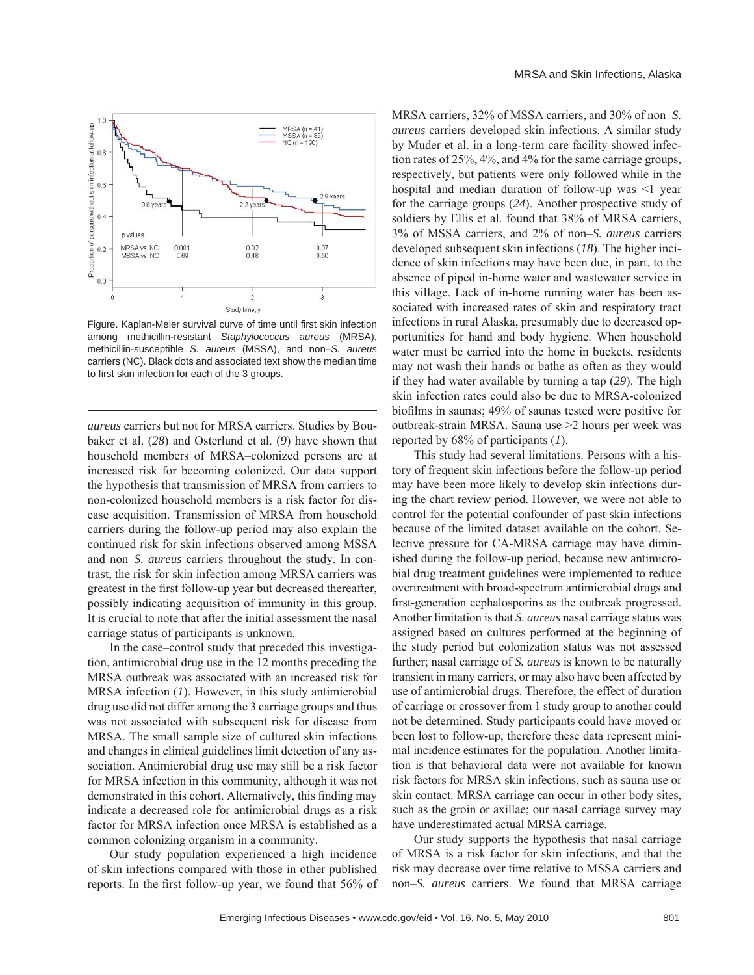

Figure. Kaplan-Meier survival curve of time until first skin infection among methicillin-resistant *Staphylococcus aureus* (MRSA), methicillin-susceptible *S. aureus* (MSSA), and non–*S. aureus*  carriers (NC). Black dots and associated text show the median time to first skin infection for each of the 3 groups.

*aureus* carriers but not for MRSA carriers. Studies by Boubaker et al. (*28*) and Osterlund et al. (*9*) have shown that household members of MRSA–colonized persons are at increased risk for becoming colonized. Our data support the hypothesis that transmission of MRSA from carriers to non-colonized household members is a risk factor for disease acquisition. Transmission of MRSA from household carriers during the follow-up period may also explain the continued risk for skin infections observed among MSSA and non–*S. aureus* carriers throughout the study. In contrast, the risk for skin infection among MRSA carriers was greatest in the first follow-up year but decreased thereafter, possibly indicating acquisition of immunity in this group. It is crucial to note that after the initial assessment the nasal carriage status of participants is unknown.

In the case–control study that preceded this investigation, antimicrobial drug use in the 12 months preceding the MRSA outbreak was associated with an increased risk for MRSA infection (*1*). However, in this study antimicrobial drug use did not differ among the 3 carriage groups and thus was not associated with subsequent risk for disease from MRSA. The small sample size of cultured skin infections and changes in clinical guidelines limit detection of any association. Antimicrobial drug use may still be a risk factor for MRSA infection in this community, although it was not demonstrated in this cohort. Alternatively, this finding may indicate a decreased role for antimicrobial drugs as a risk factor for MRSA infection once MRSA is established as a common colonizing organism in a community.

Our study population experienced a high incidence of skin infections compared with those in other published reports. In the first follow-up year, we found that 56% of MRSA carriers, 32% of MSSA carriers, and 30% of non–*S. aureus* carriers developed skin infections. A similar study by Muder et al. in a long-term care facility showed infection rates of 25%, 4%, and 4% for the same carriage groups, respectively, but patients were only followed while in the hospital and median duration of follow-up was <1 year for the carriage groups (*24*). Another prospective study of soldiers by Ellis et al. found that 38% of MRSA carriers, 3% of MSSA carriers, and 2% of non–*S. aureus* carriers developed subsequent skin infections (*18*). The higher incidence of skin infections may have been due, in part, to the absence of piped in-home water and wastewater service in this village. Lack of in-home running water has been associated with increased rates of skin and respiratory tract infections in rural Alaska, presumably due to decreased opportunities for hand and body hygiene. When household water must be carried into the home in buckets, residents may not wash their hands or bathe as often as they would if they had water available by turning a tap (*29*). The high skin infection rates could also be due to MRSA-colonized biofilms in saunas; 49% of saunas tested were positive for outbreak-strain MRSA. Sauna use >2 hours per week was reported by 68% of participants (*1*).

This study had several limitations. Persons with a history of frequent skin infections before the follow-up period may have been more likely to develop skin infections during the chart review period. However, we were not able to control for the potential confounder of past skin infections because of the limited dataset available on the cohort. Selective pressure for CA-MRSA carriage may have diminished during the follow-up period, because new antimicrobial drug treatment guidelines were implemented to reduce overtreatment with broad-spectrum antimicrobial drugs and first-generation cephalosporins as the outbreak progressed. Another limitation is that *S. aureus* nasal carriage status was assigned based on cultures performed at the beginning of the study period but colonization status was not assessed further; nasal carriage of *S. aureus* is known to be naturally transient in many carriers, or may also have been affected by use of antimicrobial drugs. Therefore, the effect of duration of carriage or crossover from 1 study group to another could not be determined. Study participants could have moved or been lost to follow-up, therefore these data represent minimal incidence estimates for the population. Another limitation is that behavioral data were not available for known risk factors for MRSA skin infections, such as sauna use or skin contact. MRSA carriage can occur in other body sites, such as the groin or axillae; our nasal carriage survey may have underestimated actual MRSA carriage.

Our study supports the hypothesis that nasal carriage of MRSA is a risk factor for skin infections, and that the risk may decrease over time relative to MSSA carriers and non–*S. aureus* carriers. We found that MRSA carriage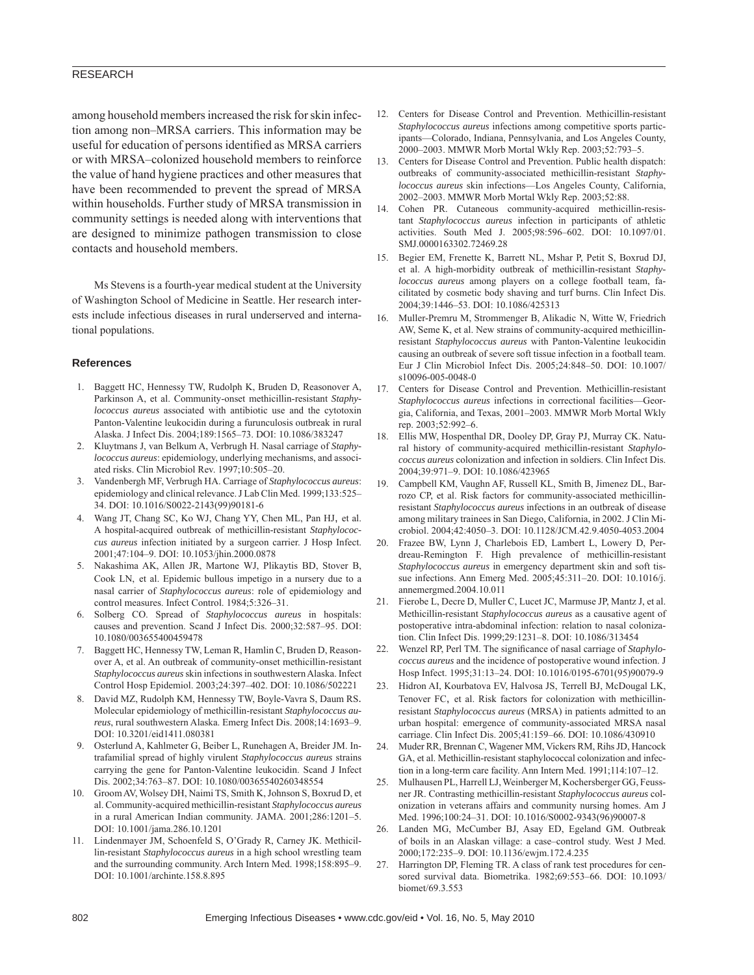# RESEARCH

among household members increased the risk for skin infection among non–MRSA carriers. This information may be useful for education of persons identified as MRSA carriers or with MRSA–colonized household members to reinforce the value of hand hygiene practices and other measures that have been recommended to prevent the spread of MRSA within households. Further study of MRSA transmission in community settings is needed along with interventions that are designed to minimize pathogen transmission to close contacts and household members.

Ms Stevens is a fourth-year medical student at the University of Washington School of Medicine in Seattle. Her research interests include infectious diseases in rural underserved and international populations.

### **References**

- 1. Baggett HC, Hennessy TW, Rudolph K, Bruden D, Reasonover A, Parkinson A, et al. Community-onset methicillin-resistant *Staphylococcus aureus* associated with antibiotic use and the cytotoxin Panton-Valentine leukocidin during a furunculosis outbreak in rural Alaska. J Infect Dis. 2004;189:1565–73. DOI: 10.1086/383247
- 2. Kluytmans J, van Belkum A, Verbrugh H. Nasal carriage of *Staphylococcus aureus*: epidemiology, underlying mechanisms, and associated risks. Clin Microbiol Rev. 1997;10:505–20.
- 3. Vandenbergh MF, Verbrugh HA. Carriage of *Staphylococcus aureus*: epidemiology and clinical relevance. J Lab Clin Med. 1999;133:525– 34. DOI: 10.1016/S0022-2143(99)90181-6
- 4. Wang JT, Chang SC, Ko WJ, Chang YY, Chen ML, Pan HJ, et al. A hospital-acquired outbreak of methicillin-resistant *Staphylococcus aureus* infection initiated by a surgeon carrier. J Hosp Infect. 2001;47:104–9. DOI: 10.1053/jhin.2000.0878
- 5. Nakashima AK, Allen JR, Martone WJ, Plikaytis BD, Stover B, Cook LN, et al. Epidemic bullous impetigo in a nursery due to a nasal carrier of *Staphylococcus aureus*: role of epidemiology and control measures. Infect Control. 1984;5:326–31.
- 6. Solberg CO. Spread of *Staphylococcus aureus* in hospitals: causes and prevention. Scand J Infect Dis. 2000;32:587–95. DOI: 10.1080/003655400459478
- 7. Baggett HC, Hennessy TW, Leman R, Hamlin C, Bruden D, Reasonover A, et al. An outbreak of community-onset methicillin-resistant *Staphylococcus aureus* skin infections in southwestern Alaska. Infect Control Hosp Epidemiol. 2003;24:397–402. DOI: 10.1086/502221
- 8. David MZ, Rudolph KM, Hennessy TW, Boyle-Vavra S, Daum RS. Molecular epidemiology of methicillin-resistant *Staphylococcus aureus*, rural southwestern Alaska. Emerg Infect Dis. 2008;14:1693–9. DOI: 10.3201/eid1411.080381
- 9. Osterlund A, Kahlmeter G, Beiber L, Runehagen A, Breider JM. Intrafamilial spread of highly virulent *Staphylococcus aureus* strains carrying the gene for Panton-Valentine leukocidin. Scand J Infect Dis. 2002;34:763–87. DOI: 10.1080/00365540260348554
- 10. Groom AV, Wolsey DH, Naimi TS, Smith K, Johnson S, Boxrud D, et al. Community-acquired methicillin-resistant *Staphylococcus aureus* in a rural American Indian community. JAMA. 2001;286:1201–5. DOI: 10.1001/jama.286.10.1201
- 11. Lindenmayer JM, Schoenfeld S, O'Grady R, Carney JK. Methicillin-resistant *Staphylococcus aureus* in a high school wrestling team and the surrounding community. Arch Intern Med. 1998;158:895–9. DOI: 10.1001/archinte.158.8.895
- 12. Centers for Disease Control and Prevention. Methicillin-resistant *Staphylococcus aureus* infections among competitive sports participants—Colorado, Indiana, Pennsylvania, and Los Angeles County, 2000–2003. MMWR Morb Mortal Wkly Rep. 2003;52:793–5.
- 13. Centers for Disease Control and Prevention. Public health dispatch: outbreaks of community-associated methicillin-resistant *Staphylococcus aureus* skin infections—Los Angeles County, California, 2002–2003. MMWR Morb Mortal Wkly Rep. 2003;52:88.
- 14. Cohen PR. Cutaneous community-acquired methicillin-resistant *Staphylococcus aureus* infection in participants of athletic activities. South Med J. 2005;98:596–602. DOI: 10.1097/01. SMJ.0000163302.72469.28
- 15. Begier EM, Frenette K, Barrett NL, Mshar P, Petit S, Boxrud DJ, et al. A high-morbidity outbreak of methicillin-resistant *Staphylococcus aureus* among players on a college football team, facilitated by cosmetic body shaving and turf burns. Clin Infect Dis. 2004;39:1446–53. DOI: 10.1086/425313
- 16. Muller-Premru M, Strommenger B, Alikadic N, Witte W, Friedrich AW, Seme K, et al. New strains of community-acquired methicillinresistant *Staphylococcus aureus* with Panton-Valentine leukocidin causing an outbreak of severe soft tissue infection in a football team. Eur J Clin Microbiol Infect Dis. 2005;24:848–50. DOI: 10.1007/ s10096-005-0048-0
- 17. Centers for Disease Control and Prevention. Methicillin-resistant *Staphylococcus aureus* infections in correctional facilities—Georgia, California, and Texas, 2001–2003. MMWR Morb Mortal Wkly rep. 2003;52:992–6.
- 18. Ellis MW, Hospenthal DR, Dooley DP, Gray PJ, Murray CK. Natural history of community-acquired methicillin-resistant *Staphylococcus aureus* colonization and infection in soldiers. Clin Infect Dis. 2004;39:971–9. DOI: 10.1086/423965
- 19. Campbell KM, Vaughn AF, Russell KL, Smith B, Jimenez DL, Barrozo CP, et al. Risk factors for community-associated methicillinresistant *Staphylococcus aureus* infections in an outbreak of disease among military trainees in San Diego, California, in 2002. J Clin Microbiol. 2004;42:4050–3. DOI: 10.1128/JCM.42.9.4050-4053.2004
- 20. Frazee BW, Lynn J, Charlebois ED, Lambert L, Lowery D, Perdreau-Remington F. High prevalence of methicillin-resistant *Staphylococcus aureus* in emergency department skin and soft tissue infections. Ann Emerg Med. 2005;45:311–20. DOI: 10.1016/j. annemergmed.2004.10.011
- 21. Fierobe L, Decre D, Muller C, Lucet JC, Marmuse JP, Mantz J, et al. Methicillin-resistant *Staphylococcus aureus* as a causative agent of postoperative intra-abdominal infection: relation to nasal colonization. Clin Infect Dis. 1999;29:1231–8. DOI: 10.1086/313454
- 22. Wenzel RP, Perl TM. The significance of nasal carriage of *Staphylococcus aureus* and the incidence of postoperative wound infection. J Hosp Infect. 1995;31:13–24. DOI: 10.1016/0195-6701(95)90079-9
- 23. Hidron AI, Kourbatova EV, Halvosa JS, Terrell BJ, McDougal LK, Tenover FC, et al. Risk factors for colonization with methicillinresistant *Staphylococcus aureus* (MRSA) in patients admitted to an urban hospital: emergence of community-associated MRSA nasal carriage. Clin Infect Dis. 2005;41:159–66. DOI: 10.1086/430910
- 24. Muder RR, Brennan C, Wagener MM, Vickers RM, Rihs JD, Hancock GA, et al. Methicillin-resistant staphylococcal colonization and infection in a long-term care facility. Ann Intern Med. 1991;114:107–12.
- 25. Mulhausen PL, Harrell LJ, Weinberger M, Kochersberger GG, Feussner JR. Contrasting methicillin-resistant *Staphylococcus aureus* colonization in veterans affairs and community nursing homes. Am J Med. 1996;100:24–31. DOI: 10.1016/S0002-9343(96)90007-8
- 26. Landen MG, McCumber BJ, Asay ED, Egeland GM. Outbreak of boils in an Alaskan village: a case–control study. West J Med. 2000;172:235–9. DOI: 10.1136/ewjm.172.4.235
- 27. Harrington DP, Fleming TR. A class of rank test procedures for censored survival data. Biometrika. 1982;69:553–66. DOI: 10.1093/ biomet/69.3.553